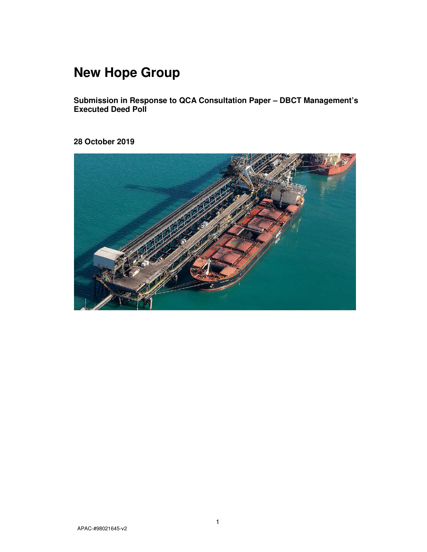# **New Hope Group**

**Submission in Response to QCA Consultation Paper – DBCT Management's Executed Deed Poll** 

**28 October 2019** 

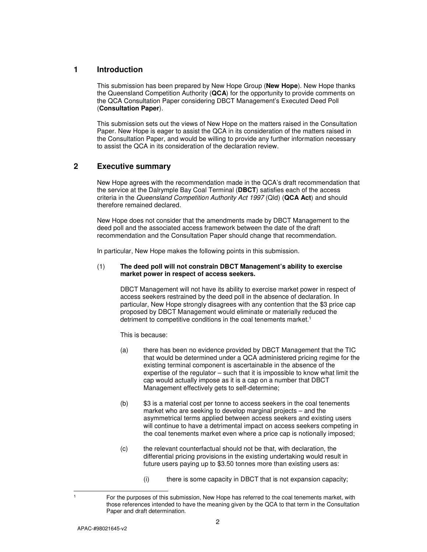## **1 Introduction**

This submission has been prepared by New Hope Group (**New Hope**). New Hope thanks the Queensland Competition Authority (**QCA**) for the opportunity to provide comments on the QCA Consultation Paper considering DBCT Management's Executed Deed Poll (**Consultation Paper**).

This submission sets out the views of New Hope on the matters raised in the Consultation Paper. New Hope is eager to assist the QCA in its consideration of the matters raised in the Consultation Paper, and would be willing to provide any further information necessary to assist the QCA in its consideration of the declaration review.

# **2 Executive summary**

New Hope agrees with the recommendation made in the QCA's draft recommendation that the service at the Dalrymple Bay Coal Terminal (**DBCT**) satisfies each of the access criteria in the Queensland Competition Authority Act 1997 (Qld) (**QCA Act**) and should therefore remained declared.

New Hope does not consider that the amendments made by DBCT Management to the deed poll and the associated access framework between the date of the draft recommendation and the Consultation Paper should change that recommendation.

In particular, New Hope makes the following points in this submission.

### (1) **The deed poll will not constrain DBCT Management's ability to exercise market power in respect of access seekers.**

DBCT Management will not have its ability to exercise market power in respect of access seekers restrained by the deed poll in the absence of declaration. In particular, New Hope strongly disagrees with any contention that the \$3 price cap proposed by DBCT Management would eliminate or materially reduced the detriment to competitive conditions in the coal tenements market.<sup>1</sup>

This is because:

- (a) there has been no evidence provided by DBCT Management that the TIC that would be determined under a QCA administered pricing regime for the existing terminal component is ascertainable in the absence of the expertise of the regulator – such that it is impossible to know what limit the cap would actually impose as it is a cap on a number that DBCT Management effectively gets to self-determine;
- (b) \$3 is a material cost per tonne to access seekers in the coal tenements market who are seeking to develop marginal projects – and the asymmetrical terms applied between access seekers and existing users will continue to have a detrimental impact on access seekers competing in the coal tenements market even where a price cap is notionally imposed;
- (c) the relevant counterfactual should not be that, with declaration, the differential pricing provisions in the existing undertaking would result in future users paying up to \$3.50 tonnes more than existing users as:
	- (i) there is some capacity in DBCT that is not expansion capacity;

1 1

For the purposes of this submission, New Hope has referred to the coal tenements market, with those references intended to have the meaning given by the QCA to that term in the Consultation Paper and draft determination.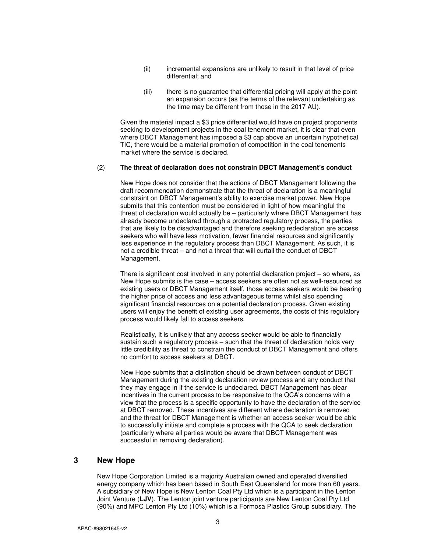- (ii) incremental expansions are unlikely to result in that level of price differential; and
- (iii) there is no guarantee that differential pricing will apply at the point an expansion occurs (as the terms of the relevant undertaking as the time may be different from those in the 2017 AU).

Given the material impact a \$3 price differential would have on project proponents seeking to development projects in the coal tenement market, it is clear that even where DBCT Management has imposed a \$3 cap above an uncertain hypothetical TIC, there would be a material promotion of competition in the coal tenements market where the service is declared.

#### (2) **The threat of declaration does not constrain DBCT Management's conduct**

New Hope does not consider that the actions of DBCT Management following the draft recommendation demonstrate that the threat of declaration is a meaningful constraint on DBCT Management's ability to exercise market power. New Hope submits that this contention must be considered in light of how meaningful the threat of declaration would actually be – particularly where DBCT Management has already become undeclared through a protracted regulatory process, the parties that are likely to be disadvantaged and therefore seeking redeclaration are access seekers who will have less motivation, fewer financial resources and significantly less experience in the regulatory process than DBCT Management. As such, it is not a credible threat – and not a threat that will curtail the conduct of DBCT Management.

There is significant cost involved in any potential declaration project – so where, as New Hope submits is the case – access seekers are often not as well-resourced as existing users or DBCT Management itself, those access seekers would be bearing the higher price of access and less advantageous terms whilst also spending significant financial resources on a potential declaration process. Given existing users will enjoy the benefit of existing user agreements, the costs of this regulatory process would likely fall to access seekers.

Realistically, it is unlikely that any access seeker would be able to financially sustain such a regulatory process – such that the threat of declaration holds very little credibility as threat to constrain the conduct of DBCT Management and offers no comfort to access seekers at DBCT.

New Hope submits that a distinction should be drawn between conduct of DBCT Management during the existing declaration review process and any conduct that they may engage in if the service is undeclared. DBCT Management has clear incentives in the current process to be responsive to the QCA's concerns with a view that the process is a specific opportunity to have the declaration of the service at DBCT removed. These incentives are different where declaration is removed and the threat for DBCT Management is whether an access seeker would be able to successfully initiate and complete a process with the QCA to seek declaration (particularly where all parties would be aware that DBCT Management was successful in removing declaration).

## **3 New Hope**

New Hope Corporation Limited is a majority Australian owned and operated diversified energy company which has been based in South East Queensland for more than 60 years. A subsidiary of New Hope is New Lenton Coal Pty Ltd which is a participant in the Lenton Joint Venture (**LJV**). The Lenton joint venture participants are New Lenton Coal Pty Ltd (90%) and MPC Lenton Pty Ltd (10%) which is a Formosa Plastics Group subsidiary. The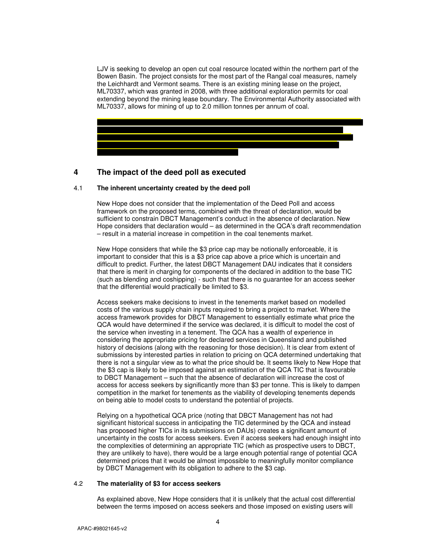LJV is seeking to develop an open cut coal resource located within the northern part of the Bowen Basin. The project consists for the most part of the Rangal coal measures, namely the Leichhardt and Vermont seams. There is an existing mining lease on the project, ML70337, which was granted in 2008, with three additional exploration permits for coal extending beyond the mining lease boundary. The Environmental Authority associated with ML70337, allows for mining of up to 2.0 million tonnes per annum of coal.



# **4 The impact of the deed poll as executed**

## 4.1 **The inherent uncertainty created by the deed poll**

New Hope does not consider that the implementation of the Deed Poll and access framework on the proposed terms, combined with the threat of declaration, would be sufficient to constrain DBCT Management's conduct in the absence of declaration. New Hope considers that declaration would – as determined in the QCA's draft recommendation – result in a material increase in competition in the coal tenements market.

New Hope considers that while the \$3 price cap may be notionally enforceable, it is important to consider that this is a \$3 price cap above a price which is uncertain and difficult to predict. Further, the latest DBCT Management DAU indicates that it considers that there is merit in charging for components of the declared in addition to the base TIC (such as blending and coshipping) - such that there is no guarantee for an access seeker that the differential would practically be limited to \$3.

Access seekers make decisions to invest in the tenements market based on modelled costs of the various supply chain inputs required to bring a project to market. Where the access framework provides for DBCT Management to essentially estimate what price the QCA would have determined if the service was declared, it is difficult to model the cost of the service when investing in a tenement. The QCA has a wealth of experience in considering the appropriate pricing for declared services in Queensland and published history of decisions (along with the reasoning for those decision). It is clear from extent of submissions by interested parties in relation to pricing on QCA determined undertaking that there is not a singular view as to what the price should be. It seems likely to New Hope that the \$3 cap is likely to be imposed against an estimation of the QCA TIC that is favourable to DBCT Management – such that the absence of declaration will increase the cost of access for access seekers by significantly more than \$3 per tonne. This is likely to dampen competition in the market for tenements as the viability of developing tenements depends on being able to model costs to understand the potential of projects.

Relying on a hypothetical QCA price (noting that DBCT Management has not had significant historical success in anticipating the TIC determined by the QCA and instead has proposed higher TICs in its submissions on DAUs) creates a significant amount of uncertainty in the costs for access seekers. Even if access seekers had enough insight into the complexities of determining an appropriate TIC (which as prospective users to DBCT, they are unlikely to have), there would be a large enough potential range of potential QCA determined prices that it would be almost impossible to meaningfully monitor compliance by DBCT Management with its obligation to adhere to the \$3 cap.

#### 4.2 **The materiality of \$3 for access seekers**

As explained above, New Hope considers that it is unlikely that the actual cost differential between the terms imposed on access seekers and those imposed on existing users will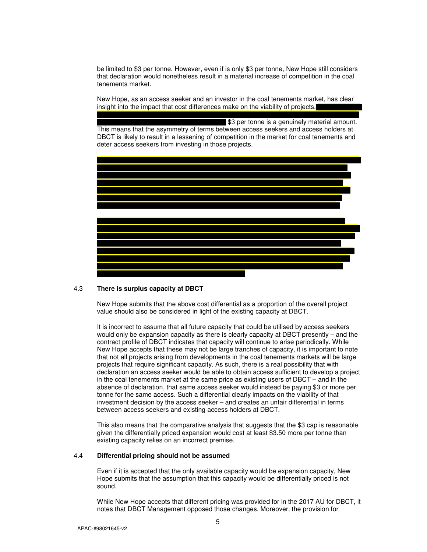be limited to \$3 per tonne. However, even if is only \$3 per tonne, New Hope still considers that declaration would nonetheless result in a material increase of competition in the coal tenements market.

New Hope, as an access seeker and an investor in the coal tenements market, has clear insight into the impact that cost differences make on the viability of projects.

**\$3 per tonne is a genuinely material amount.** This means that the asymmetry of terms between access seekers and access holders at DBCT is likely to result in a lessening of competition in the market for coal tenements and deter access seekers from investing in those projects.



## 4.3 **There is surplus capacity at DBCT**

New Hope submits that the above cost differential as a proportion of the overall project value should also be considered in light of the existing capacity at DBCT.

It is incorrect to assume that all future capacity that could be utilised by access seekers would only be expansion capacity as there is clearly capacity at DBCT presently – and the contract profile of DBCT indicates that capacity will continue to arise periodically. While New Hope accepts that these may not be large tranches of capacity, it is important to note that not all projects arising from developments in the coal tenements markets will be large projects that require significant capacity. As such, there is a real possibility that with declaration an access seeker would be able to obtain access sufficient to develop a project in the coal tenements market at the same price as existing users of DBCT – and in the absence of declaration, that same access seeker would instead be paying \$3 or more per tonne for the same access. Such a differential clearly impacts on the viability of that investment decision by the access seeker – and creates an unfair differential in terms between access seekers and existing access holders at DBCT.

This also means that the comparative analysis that suggests that the \$3 cap is reasonable given the differentially priced expansion would cost at least \$3.50 more per tonne than existing capacity relies on an incorrect premise.

### 4.4 **Differential pricing should not be assumed**

Even if it is accepted that the only available capacity would be expansion capacity, New Hope submits that the assumption that this capacity would be differentially priced is not sound.

While New Hope accepts that different pricing was provided for in the 2017 AU for DBCT, it notes that DBCT Management opposed those changes. Moreover, the provision for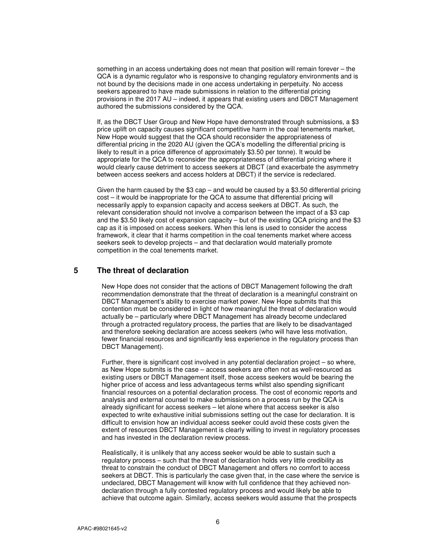something in an access undertaking does not mean that position will remain forever – the QCA is a dynamic regulator who is responsive to changing regulatory environments and is not bound by the decisions made in one access undertaking in perpetuity. No access seekers appeared to have made submissions in relation to the differential pricing provisions in the 2017 AU – indeed, it appears that existing users and DBCT Management authored the submissions considered by the QCA.

If, as the DBCT User Group and New Hope have demonstrated through submissions, a \$3 price uplift on capacity causes significant competitive harm in the coal tenements market, New Hope would suggest that the QCA should reconsider the appropriateness of differential pricing in the 2020 AU (given the QCA's modelling the differential pricing is likely to result in a price difference of approximately \$3.50 per tonne). It would be appropriate for the QCA to reconsider the appropriateness of differential pricing where it would clearly cause detriment to access seekers at DBCT (and exacerbate the asymmetry between access seekers and access holders at DBCT) if the service is redeclared.

Given the harm caused by the  $$3$  cap – and would be caused by a  $$3.50$  differential pricing cost – it would be inappropriate for the QCA to assume that differential pricing will necessarily apply to expansion capacity and access seekers at DBCT. As such, the relevant consideration should not involve a comparison between the impact of a \$3 cap and the \$3.50 likely cost of expansion capacity – but of the existing QCA pricing and the \$3 cap as it is imposed on access seekers. When this lens is used to consider the access framework, it clear that it harms competition in the coal tenements market where access seekers seek to develop projects – and that declaration would materially promote competition in the coal tenements market.

## **5 The threat of declaration**

New Hope does not consider that the actions of DBCT Management following the draft recommendation demonstrate that the threat of declaration is a meaningful constraint on DBCT Management's ability to exercise market power. New Hope submits that this contention must be considered in light of how meaningful the threat of declaration would actually be – particularly where DBCT Management has already become undeclared through a protracted regulatory process, the parties that are likely to be disadvantaged and therefore seeking declaration are access seekers (who will have less motivation, fewer financial resources and significantly less experience in the regulatory process than DBCT Management).

Further, there is significant cost involved in any potential declaration project – so where, as New Hope submits is the case – access seekers are often not as well-resourced as existing users or DBCT Management itself, those access seekers would be bearing the higher price of access and less advantageous terms whilst also spending significant financial resources on a potential declaration process. The cost of economic reports and analysis and external counsel to make submissions on a process run by the QCA is already significant for access seekers – let alone where that access seeker is also expected to write exhaustive initial submissions setting out the case for declaration. It is difficult to envision how an individual access seeker could avoid these costs given the extent of resources DBCT Management is clearly willing to invest in regulatory processes and has invested in the declaration review process.

Realistically, it is unlikely that any access seeker would be able to sustain such a regulatory process – such that the threat of declaration holds very little credibility as threat to constrain the conduct of DBCT Management and offers no comfort to access seekers at DBCT. This is particularly the case given that, in the case where the service is undeclared, DBCT Management will know with full confidence that they achieved nondeclaration through a fully contested regulatory process and would likely be able to achieve that outcome again. Similarly, access seekers would assume that the prospects